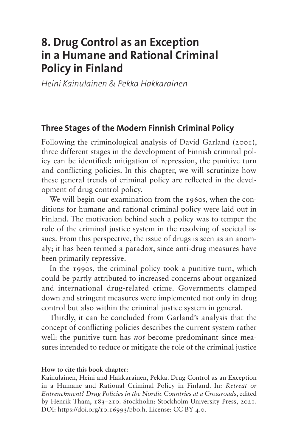# **8. Drug Control as an Exception in a Humane and Rational Criminal Policy in Finland**

*Heini Kainulainen & Pekka Hakkarainen*

#### **Three Stages of the Modern Finnish Criminal Policy**

Following the criminological analysis of David Garland (2001), three different stages in the development of Finnish criminal policy can be identified: mitigation of repression, the punitive turn and conflicting policies. In this chapter, we will scrutinize how these general trends of criminal policy are reflected in the development of drug control policy.

We will begin our examination from the 1960s, when the conditions for humane and rational criminal policy were laid out in Finland. The motivation behind such a policy was to temper the role of the criminal justice system in the resolving of societal issues. From this perspective, the issue of drugs is seen as an anomaly; it has been termed a paradox, since anti-drug measures have been primarily repressive.

In the 1990s, the criminal policy took a punitive turn, which could be partly attributed to increased concerns about organized and international drug-related crime. Governments clamped down and stringent measures were implemented not only in drug control but also within the criminal justice system in general.

Thirdly, it can be concluded from Garland's analysis that the concept of conflicting policies describes the current system rather well: the punitive turn has *not* become predominant since measures intended to reduce or mitigate the role of the criminal justice

#### **How to cite this book chapter:**

Kainulainen, Heini and Hakkarainen, Pekka. Drug Control as an Exception in a Humane and Rational Criminal Policy in Finland. In: *Retreat or Entrenchment? Drug Policies in the Nordic Countries at a Crossroads*, edited by Henrik Tham, 183–210. Stockholm: Stockholm University Press, 2021. DOI:<https://doi.org/10.16993/bbo.h>. License: CC BY 4.0.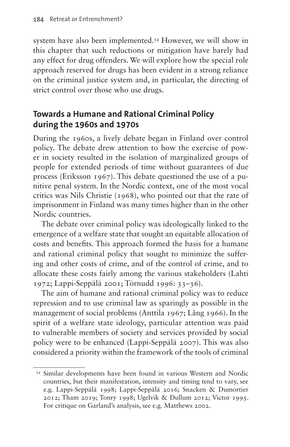system have also been implemented.[54](#page-1-0) However, we will show in this chapter that such reductions or mitigation have barely had any effect for drug offenders. We will explore how the special role approach reserved for drugs has been evident in a strong reliance on the criminal justice system and, in particular, the directing of strict control over those who use drugs.

# **Towards a Humane and Rational Criminal Policy during the 1960s and 1970s**

During the 1960s, a lively debate began in Finland over control policy. The debate drew attention to how the exercise of power in society resulted in the isolation of marginalized groups of people for extended periods of time without guarantees of due process (Eriksson 1967). This debate questioned the use of a punitive penal system. In the Nordic context, one of the most vocal critics was Nils Christie (1968), who pointed out that the rate of imprisonment in Finland was many times higher than in the other Nordic countries.

The debate over criminal policy was ideologically linked to the emergence of a welfare state that sought an equitable allocation of costs and benefits. This approach formed the basis for a humane and rational criminal policy that sought to minimize the suffering and other costs of crime, and of the control of crime, and to allocate these costs fairly among the various stakeholders (Lahti 1972; Lappi-Seppälä 2001; Törnudd 1996: 33–36).

The aim of humane and rational criminal policy was to reduce repression and to use criminal law as sparingly as possible in the management of social problems (Anttila 1967; Lång 1966). In the spirit of a welfare state ideology, particular attention was paid to vulnerable members of society and services provided by social policy were to be enhanced (Lappi-Seppälä 2007). This was also considered a priority within the framework of the tools of criminal

<span id="page-1-0"></span><sup>54</sup> Similar developments have been found in various Western and Nordic countries, but their manifestation, intensity and timing tend to vary, see e.g. Lappi-Seppälä 1998; Lappi-Seppälä 2016; Snacken & Dumortier 2012; Tham 2019; Tonry 1998; Ugelvik & Dullum 2012; Victor 1995. For critique on Garland's analysis, see e.g. Matthews 2002.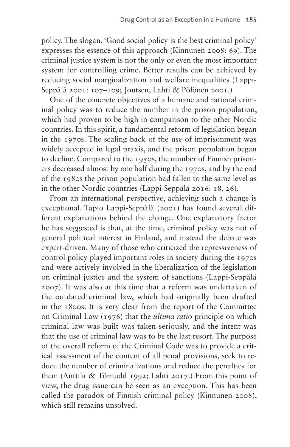policy. The slogan, 'Good social policy is the best criminal policy' expresses the essence of this approach (Kinnunen 2008: 69). The criminal justice system is not the only or even the most important system for controlling crime. Better results can be achieved by reducing social marginalization and welfare inequalities (Lappi-Seppälä 2001: 107–109; Joutsen, Lahti & Pölönen 2001.)

One of the concrete objectives of a humane and rational criminal policy was to reduce the number in the prison population, which had proven to be high in comparison to the other Nordic countries. In this spirit, a fundamental reform of legislation began in the 1970s. The scaling back of the use of imprisonment was widely accepted in legal praxis, and the prison population began to decline. Compared to the 1950s, the number of Finnish prisoners decreased almost by one half during the 1970s, and by the end of the 1980s the prison population had fallen to the same level as in the other Nordic countries (Lappi-Seppälä 2016: 18, 26).

From an international perspective, achieving such a change is exceptional. Tapio Lappi-Seppälä (2001) has found several different explanations behind the change. One explanatory factor he has suggested is that, at the time, criminal policy was not of general political interest in Finland, and instead the debate was expert-driven. Many of those who criticized the repressiveness of control policy played important roles in society during the 1970s and were actively involved in the liberalization of the legislation on criminal justice and the system of sanctions (Lappi-Seppälä 2007). It was also at this time that a reform was undertaken of the outdated criminal law, which had originally been drafted in the 1800s. It is very clear from the report of the Committee on Criminal Law (1976) that the *ultima ratio* principle on which criminal law was built was taken seriously, and the intent was that the use of criminal law was to be the last resort. The purpose of the overall reform of the Criminal Code was to provide a critical assessment of the content of all penal provisions, seek to reduce the number of criminalizations and reduce the penalties for them (Anttila & Törnudd 1992; Lahti 2017.) From this point of view, the drug issue can be seen as an exception. This has been called the paradox of Finnish criminal policy (Kinnunen 2008), which still remains unsolved.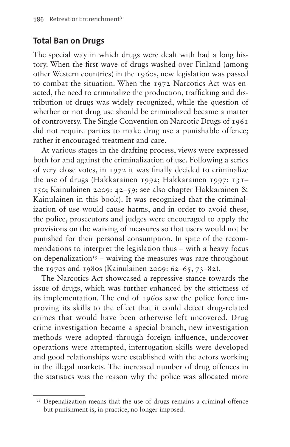#### **Total Ban on Drugs**

The special way in which drugs were dealt with had a long history. When the first wave of drugs washed over Finland (among other Western countries) in the 1960s, new legislation was passed to combat the situation. When the 1972 Narcotics Act was enacted, the need to criminalize the production, trafficking and distribution of drugs was widely recognized, while the question of whether or not drug use should be criminalized became a matter of controversy. The Single Convention on Narcotic Drugs of 1961 did not require parties to make drug use a punishable offence; rather it encouraged treatment and care.

At various stages in the drafting process, views were expressed both for and against the criminalization of use. Following a series of very close votes, in 1972 it was finally decided to criminalize the use of drugs (Hakkarainen 1992; Hakkarainen 1997: 131– 150; Kainulainen 2009: 42–59; see also chapter Hakkarainen & Kainulainen in this book). It was recognized that the criminalization of use would cause harms, and in order to avoid these, the police, prosecutors and judges were encouraged to apply the provisions on the waiving of measures so that users would not be punished for their personal consumption. In spite of the recommendations to interpret the legislation thus – with a heavy focus on depenalization<sup>55</sup> – waiving the measures was rare throughout the 1970s and 1980s (Kainulainen 2009: 62–65, 73–82).

The Narcotics Act showcased a repressive stance towards the issue of drugs, which was further enhanced by the strictness of its implementation. The end of 1960s saw the police force improving its skills to the effect that it could detect drug-related crimes that would have been otherwise left uncovered. Drug crime investigation became a special branch, new investigation methods were adopted through foreign influence, undercover operations were attempted, interrogation skills were developed and good relationships were established with the actors working in the illegal markets. The increased number of drug offences in the statistics was the reason why the police was allocated more

<span id="page-3-0"></span><sup>&</sup>lt;sup>55</sup> Depenalization means that the use of drugs remains a criminal offence but punishment is, in practice, no longer imposed.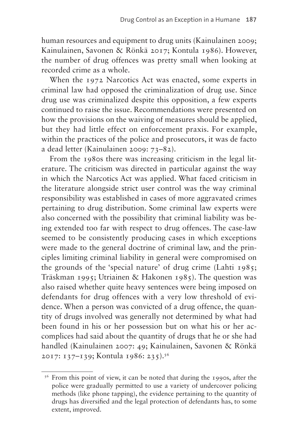human resources and equipment to drug units (Kainulainen 2009; Kainulainen, Savonen & Rönkä 2017; Kontula 1986). However, the number of drug offences was pretty small when looking at recorded crime as a whole.

When the 1972 Narcotics Act was enacted, some experts in criminal law had opposed the criminalization of drug use. Since drug use was criminalized despite this opposition, a few experts continued to raise the issue. Recommendations were presented on how the provisions on the waiving of measures should be applied, but they had little effect on enforcement praxis. For example, within the practices of the police and prosecutors, it was de facto a dead letter (Kainulainen 2009: 73–82).

From the 1980s there was increasing criticism in the legal literature. The criticism was directed in particular against the way in which the Narcotics Act was applied. What faced criticism in the literature alongside strict user control was the way criminal responsibility was established in cases of more aggravated crimes pertaining to drug distribution. Some criminal law experts were also concerned with the possibility that criminal liability was being extended too far with respect to drug offences. The case-law seemed to be consistently producing cases in which exceptions were made to the general doctrine of criminal law, and the principles limiting criminal liability in general were compromised on the grounds of the 'special nature' of drug crime (Lahti 1985; Träskman 1995; Utriainen & Hakonen 1985). The question was also raised whether quite heavy sentences were being imposed on defendants for drug offences with a very low threshold of evidence. When a person was convicted of a drug offence, the quantity of drugs involved was generally not determined by what had been found in his or her possession but on what his or her accomplices had said about the quantity of drugs that he or she had handled (Kainulainen 2007: 49; Kainulainen, Savonen & Rönkä 2017: 137–139; Kontula 1986: 235).[56](#page-4-0)

<span id="page-4-0"></span><sup>&</sup>lt;sup>56</sup> From this point of view, it can be noted that during the 1990s, after the police were gradually permitted to use a variety of undercover policing methods (like phone tapping), the evidence pertaining to the quantity of drugs has diversified and the legal protection of defendants has, to some extent, improved.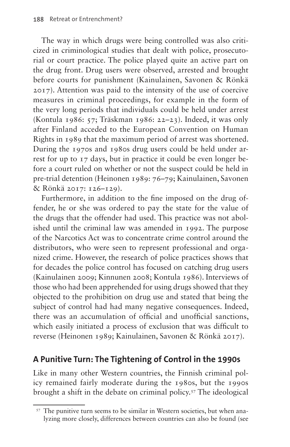The way in which drugs were being controlled was also criticized in criminological studies that dealt with police, prosecutorial or court practice. The police played quite an active part on the drug front. Drug users were observed, arrested and brought before courts for punishment (Kainulainen, Savonen & Rönkä 2017). Attention was paid to the intensity of the use of coercive measures in criminal proceedings, for example in the form of the very long periods that individuals could be held under arrest (Kontula 1986: 57; Träskman 1986: 22–23). Indeed, it was only after Finland acceded to the European Convention on Human Rights in 1989 that the maximum period of arrest was shortened. During the 1970s and 1980s drug users could be held under arrest for up to 17 days, but in practice it could be even longer before a court ruled on whether or not the suspect could be held in pre-trial detention (Heinonen 1989: 76–79; Kainulainen, Savonen & Rönkä 2017: 126–129).

Furthermore, in addition to the fine imposed on the drug offender, he or she was ordered to pay the state for the value of the drugs that the offender had used. This practice was not abolished until the criminal law was amended in 1992. The purpose of the Narcotics Act was to concentrate crime control around the distributors, who were seen to represent professional and organized crime. However, the research of police practices shows that for decades the police control has focused on catching drug users (Kainulainen 2009; Kinnunen 2008; Kontula 1986). Interviews of those who had been apprehended for using drugs showed that they objected to the prohibition on drug use and stated that being the subject of control had had many negative consequences. Indeed, there was an accumulation of official and unofficial sanctions, which easily initiated a process of exclusion that was difficult to reverse (Heinonen 1989; Kainulainen, Savonen & Rönkä 2017).

### **A Punitive Turn: The Tightening of Control in the 1990s**

Like in many other Western countries, the Finnish criminal policy remained fairly moderate during the 1980s, but the 1990s brought a shift in the debate on criminal policy[.57](#page-5-0) The ideological

<span id="page-5-0"></span><sup>57</sup> The punitive turn seems to be similar in Western societies, but when analyzing more closely, differences between countries can also be found (see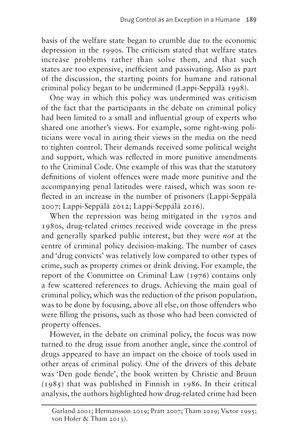basis of the welfare state began to crumble due to the economic depression in the 1990s. The criticism stated that welfare states increase problems rather than solve them, and that such states are too expensive, inefficient and passivating. Also as part of the discussion, the starting points for humane and rational criminal policy began to be undermined (Lappi-Seppälä 1998).

One way in which this policy was undermined was criticism of the fact that the participants in the debate on criminal policy had been limited to a small and influential group of experts who shared one another's views. For example, some right-wing politicians were vocal in airing their views in the media on the need to tighten control. Their demands received some political weight and support, which was reflected in more punitive amendments to the Criminal Code. One example of this was that the statutory definitions of violent offences were made more punitive and the accompanying penal latitudes were raised, which was soon reflected in an increase in the number of prisoners (Lappi-Seppälä 2007; Lappi-Seppälä 2012; Lappi-Seppälä 2016).

When the repression was being mitigated in the 1970s and 1980s, drug-related crimes received wide coverage in the press and generally sparked public interest, but they were *not* at the centre of criminal policy decision-making. The number of cases and 'drug convicts' was relatively low compared to other types of crime, such as property crimes or drink driving. For example, the report of the Committee on Criminal Law (1976) contains only a few scattered references to drugs. Achieving the main goal of criminal policy, which was the reduction of the prison population, was to be done by focusing, above all else, on those offenders who were filling the prisons, such as those who had been convicted of property offences.

However, in the debate on criminal policy, the focus was now turned to the drug issue from another angle, since the control of drugs appeared to have an impact on the choice of tools used in other areas of criminal policy. One of the drivers of this debate was 'Den gode fiende', the book written by Christie and Bruun (1985) that was published in Finnish in 1986. In their critical analysis, the authors highlighted how drug-related crime had been

Garland 2001; Hermansson 2019; Pratt 2007; Tham 2019; Victor 1995; von Hofer & Tham 2013).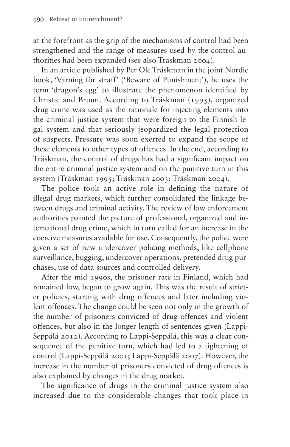at the forefront as the grip of the mechanisms of control had been strengthened and the range of measures used by the control authorities had been expanded (see also Träskman 2004).

In an article published by Per Ole Träskman in the joint Nordic book, 'Varning för straff' ('Beware of Punishment'), he uses the term 'dragon's egg' to illustrate the phenomenon identified by Christie and Bruun. According to Träskman (1995), organized drug crime was used as the rationale for injecting elements into the criminal justice system that were foreign to the Finnish legal system and that seriously jeopardized the legal protection of suspects. Pressure was soon exerted to expand the scope of these elements to other types of offences. In the end, according to Träskman, the control of drugs has had a significant impact on the entire criminal justice system and on the punitive turn in this system (Träskman 1995; Träskman 2003; Träskman 2004).

The police took an active role in defining the nature of illegal drug markets, which further consolidated the linkage between drugs and criminal activity. The review of law enforcement authorities painted the picture of professional, organized and international drug crime, which in turn called for an increase in the coercive measures available for use. Consequently, the police were given a set of new undercover policing methods, like cellphone surveillance, bugging, undercover operations, pretended drug purchases, use of data sources and controlled delivery.

After the mid 1990s, the prisoner rate in Finland, which had remained low, began to grow again. This was the result of stricter policies, starting with drug offences and later including violent offences. The change could be seen not only in the growth of the number of prisoners convicted of drug offences and violent offences, but also in the longer length of sentences given (Lappi-Seppälä 2012). According to Lappi-Seppälä, this was a clear consequence of the punitive turn, which had led to a tightening of control (Lappi-Seppälä 2001; Lappi-Seppälä 2007). However, the increase in the number of prisoners convicted of drug offences is also explained by changes in the drug market.

The significance of drugs in the criminal justice system also increased due to the considerable changes that took place in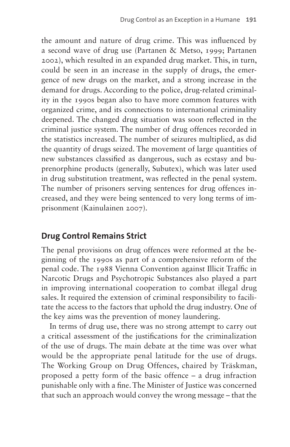the amount and nature of drug crime. This was influenced by a second wave of drug use (Partanen & Metso, 1999; Partanen 2002), which resulted in an expanded drug market. This, in turn, could be seen in an increase in the supply of drugs, the emergence of new drugs on the market, and a strong increase in the demand for drugs. According to the police, drug-related criminality in the 1990s began also to have more common features with organized crime, and its connections to international criminality deepened. The changed drug situation was soon reflected in the criminal justice system. The number of drug offences recorded in the statistics increased. The number of seizures multiplied, as did the quantity of drugs seized. The movement of large quantities of new substances classified as dangerous, such as ecstasy and buprenorphine products (generally, Subutex), which was later used in drug substitution treatment, was reflected in the penal system. The number of prisoners serving sentences for drug offences increased, and they were being sentenced to very long terms of imprisonment (Kainulainen 2007).

### **Drug Control Remains Strict**

The penal provisions on drug offences were reformed at the beginning of the 1990s as part of a comprehensive reform of the penal code. The 1988 Vienna Convention against Illicit Traffic in Narcotic Drugs and Psychotropic Substances also played a part in improving international cooperation to combat illegal drug sales. It required the extension of criminal responsibility to facilitate the access to the factors that uphold the drug industry. One of the key aims was the prevention of money laundering.

In terms of drug use, there was no strong attempt to carry out a critical assessment of the justifications for the criminalization of the use of drugs. The main debate at the time was over what would be the appropriate penal latitude for the use of drugs. The Working Group on Drug Offences, chaired by Träskman, proposed a petty form of the basic offence – a drug infraction punishable only with a fine. The Minister of Justice was concerned that such an approach would convey the wrong message – that the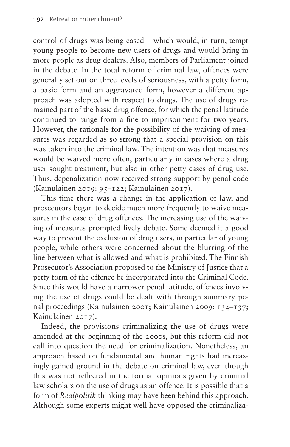control of drugs was being eased – which would, in turn, tempt young people to become new users of drugs and would bring in more people as drug dealers. Also, members of Parliament joined in the debate. In the total reform of criminal law, offences were generally set out on three levels of seriousness, with a petty form, a basic form and an aggravated form, however a different approach was adopted with respect to drugs. The use of drugs remained part of the basic drug offence, for which the penal latitude continued to range from a fine to imprisonment for two years. However, the rationale for the possibility of the waiving of measures was regarded as so strong that a special provision on this was taken into the criminal law. The intention was that measures would be waived more often, particularly in cases where a drug user sought treatment, but also in other petty cases of drug use. Thus, depenalization now received strong support by penal code (Kainulainen 2009: 95–122; Kainulainen 2017).

This time there was a change in the application of law, and prosecutors began to decide much more frequently to waive measures in the case of drug offences. The increasing use of the waiving of measures prompted lively debate. Some deemed it a good way to prevent the exclusion of drug users, in particular of young people, while others were concerned about the blurring of the line between what is allowed and what is prohibited. The Finnish Prosecutor's Association proposed to the Ministry of Justice that a petty form of the offence be incorporated into the Criminal Code. Since this would have a narrower penal latitude, offences involving the use of drugs could be dealt with through summary penal proceedings (Kainulainen 2001; Kainulainen 2009: 134–137; Kainulainen 2017).

Indeed, the provisions criminalizing the use of drugs were amended at the beginning of the 2000s, but this reform did not call into question the need for criminalization. Nonetheless, an approach based on fundamental and human rights had increasingly gained ground in the debate on criminal law, even though this was not reflected in the formal opinions given by criminal law scholars on the use of drugs as an offence. It is possible that a form of *Realpolitik* thinking may have been behind this approach. Although some experts might well have opposed the criminaliza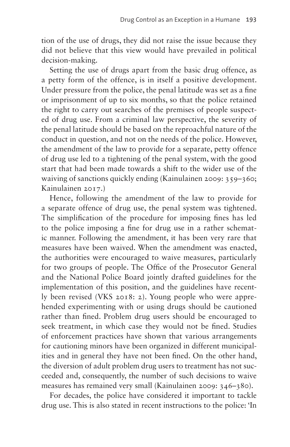tion of the use of drugs, they did not raise the issue because they did not believe that this view would have prevailed in political decision-making.

Setting the use of drugs apart from the basic drug offence, as a petty form of the offence, is in itself a positive development. Under pressure from the police, the penal latitude was set as a fine or imprisonment of up to six months, so that the police retained the right to carry out searches of the premises of people suspected of drug use. From a criminal law perspective, the severity of the penal latitude should be based on the reproachful nature of the conduct in question, and not on the needs of the police. However, the amendment of the law to provide for a separate, petty offence of drug use led to a tightening of the penal system, with the good start that had been made towards a shift to the wider use of the waiving of sanctions quickly ending (Kainulainen 2009: 359–360; Kainulainen 2017.)

Hence, following the amendment of the law to provide for a separate offence of drug use, the penal system was tightened. The simplification of the procedure for imposing fines has led to the police imposing a fine for drug use in a rather schematic manner. Following the amendment, it has been very rare that measures have been waived. When the amendment was enacted, the authorities were encouraged to waive measures, particularly for two groups of people. The Office of the Prosecutor General and the National Police Board jointly drafted guidelines for the implementation of this position, and the guidelines have recently been revised (VKS 2018: 2). Young people who were apprehended experimenting with or using drugs should be cautioned rather than fined. Problem drug users should be encouraged to seek treatment, in which case they would not be fined. Studies of enforcement practices have shown that various arrangements for cautioning minors have been organized in different municipalities and in general they have not been fined. On the other hand, the diversion of adult problem drug users to treatment has not succeeded and, consequently, the number of such decisions to waive measures has remained very small (Kainulainen 2009: 346–380).

For decades, the police have considered it important to tackle drug use. This is also stated in recent instructions to the police: 'In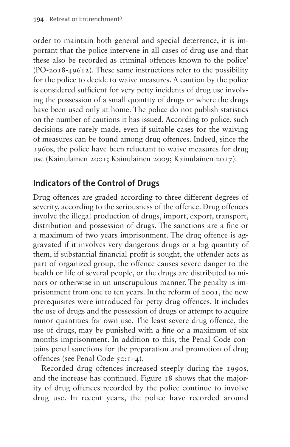order to maintain both general and special deterrence, it is important that the police intervene in all cases of drug use and that these also be recorded as criminal offences known to the police' (PO-2018-49612). These same instructions refer to the possibility for the police to decide to waive measures. A caution by the police is considered sufficient for very petty incidents of drug use involving the possession of a small quantity of drugs or where the drugs have been used only at home. The police do not publish statistics on the number of cautions it has issued. According to police, such decisions are rarely made, even if suitable cases for the waiving of measures can be found among drug offences. Indeed, since the 1960s, the police have been reluctant to waive measures for drug use (Kainulainen 2001; Kainulainen 2009; Kainulainen 2017).

# **Indicators of the Control of Drugs**

Drug offences are graded according to three different degrees of severity, according to the seriousness of the offence. Drug offences involve the illegal production of drugs, import, export, transport, distribution and possession of drugs. The sanctions are a fine or a maximum of two years imprisonment. The drug offence is aggravated if it involves very dangerous drugs or a big quantity of them, if substantial financial profit is sought, the offender acts as part of organized group, the offence causes severe danger to the health or life of several people, or the drugs are distributed to minors or otherwise in un unscrupulous manner. The penalty is imprisonment from one to ten years. In the reform of 2001, the new prerequisites were introduced for petty drug offences. It includes the use of drugs and the possession of drugs or attempt to acquire minor quantities for own use. The least severe drug offence, the use of drugs, may be punished with a fine or a maximum of six months imprisonment. In addition to this, the Penal Code contains penal sanctions for the preparation and promotion of drug offences (see Penal Code 50:1–4).

Recorded drug offences increased steeply during the 1990s, and the increase has continued. [Figure 18](#page-12-0) shows that the majority of drug offences recorded by the police continue to involve drug use. In recent years, the police have recorded around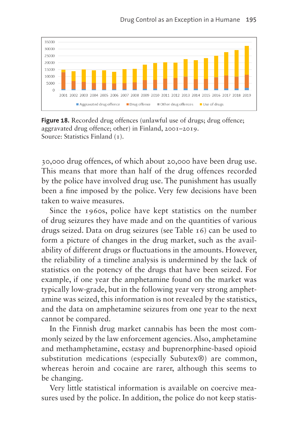

<span id="page-12-0"></span>**Figure 18.** Recorded drug offences (unlawful use of drugs; drug offence; aggravated drug offence; other) in Finland, 2001–2019. Source: Statistics Finland (1).

30,000 drug offences, of which about 20,000 have been drug use. This means that more than half of the drug offences recorded by the police have involved drug use. The punishment has usually been a fine imposed by the police. Very few decisions have been taken to waive measures.

Since the 1960s, police have kept statistics on the number of drug seizures they have made and on the quantities of various drugs seized. Data on drug seizures (see [Table 16](#page-13-0)) can be used to form a picture of changes in the drug market, such as the availability of different drugs or fluctuations in the amounts. However, the reliability of a timeline analysis is undermined by the lack of statistics on the potency of the drugs that have been seized. For example, if one year the amphetamine found on the market was typically low-grade, but in the following year very strong amphetamine was seized, this information is not revealed by the statistics, and the data on amphetamine seizures from one year to the next cannot be compared.

In the Finnish drug market cannabis has been the most commonly seized by the law enforcement agencies. Also, amphetamine and methamphetamine, ecstasy and buprenorphine-based opioid substitution medications (especially Subutex®) are common, whereas heroin and cocaine are rarer, although this seems to be changing.

Very little statistical information is available on coercive measures used by the police. In addition, the police do not keep statis-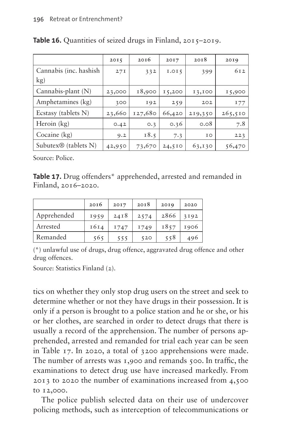|                                   | 2015   | 20I6    | 2017   | 20I8    | 20I9    |
|-----------------------------------|--------|---------|--------|---------|---------|
| Cannabis (inc. hashish            | 27I    | 332     | I.015  | 399     | 612     |
| $\rm kg)$                         |        |         |        |         |         |
| Cannabis-plant (N)                | 23,000 | 18,900  | 15,200 | 13,100  | 15,900  |
| Amphetamines (kg)                 | 300    | 192     | 259    | 202     | 177     |
| Ecstasy (tablets N)               | 23,660 | 127,680 | 66,420 | 219,350 | 265,510 |
| Heroin $(kg)$                     | 0.42   | O.3     | 0.36   | 0.08    | 7.8     |
| Cocaine (kg)                      | 9.2    | 18.5    | 7.3    | 10      | 223     |
| Subutex $\mathcal{D}$ (tablets N) | 42,950 | 73,670  | 24,510 | 63,130  | 56,470  |

<span id="page-13-0"></span>Table 16. Quantities of seized drugs in Finland, 2015-2019.

Source: Police.

<span id="page-13-1"></span>**Table 17.** Drug offenders\* apprehended, arrested and remanded in Finland, 2016–2020.

|             | 2016 | 2017 | 2018 | 20I9 | 2020 |
|-------------|------|------|------|------|------|
| Apprehended | 1959 | 24I8 | 2574 | 2866 | 3192 |
| Arrested    | 1614 | I747 | 1749 | 1857 | 1906 |
| Remanded    | 565  | 555  | 520  | 558  | 496  |

(\*) unlawful use of drugs, drug offence, aggravated drug offence and other drug offences.

Source: Statistics Finland (2).

tics on whether they only stop drug users on the street and seek to determine whether or not they have drugs in their possession. It is only if a person is brought to a police station and he or she, or his or her clothes, are searched in order to detect drugs that there is usually a record of the apprehension. The number of persons apprehended, arrested and remanded for trial each year can be seen in [Table 17](#page-13-1). In 2020, a total of 3200 apprehensions were made. The number of arrests was 1,900 and remands 500. In traffic, the examinations to detect drug use have increased markedly. From 2013 to 2020 the number of examinations increased from 4,500 to 12,000.

The police publish selected data on their use of undercover policing methods, such as interception of telecommunications or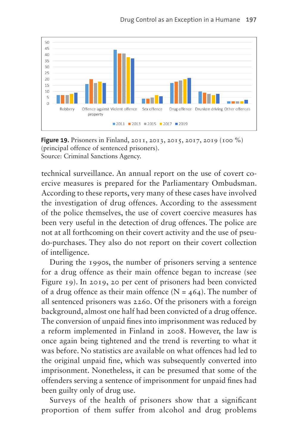

<span id="page-14-0"></span>**Figure 19.** Prisoners in Finland, 2011, 2013, 2015, 2017, 2019 (100 %) (principal offence of sentenced prisoners). Source: Criminal Sanctions Agency.

technical surveillance. An annual report on the use of covert coercive measures is prepared for the Parliamentary Ombudsman. According to these reports, very many of these cases have involved the investigation of drug offences. According to the assessment of the police themselves, the use of covert coercive measures has been very useful in the detection of drug offences. The police are not at all forthcoming on their covert activity and the use of pseudo-purchases. They also do not report on their covert collection of intelligence.

During the 1990s, the number of prisoners serving a sentence for a drug offence as their main offence began to increase (see [Figure 19](#page-14-0)). In 2019, 20 per cent of prisoners had been convicted of a drug offence as their main offence ( $N = 464$ ). The number of all sentenced prisoners was 2260. Of the prisoners with a foreign background, almost one half had been convicted of a drug offence. The conversion of unpaid fines into imprisonment was reduced by a reform implemented in Finland in 2008. However, the law is once again being tightened and the trend is reverting to what it was before. No statistics are available on what offences had led to the original unpaid fine, which was subsequently converted into imprisonment. Nonetheless, it can be presumed that some of the offenders serving a sentence of imprisonment for unpaid fines had been guilty only of drug use.

Surveys of the health of prisoners show that a significant proportion of them suffer from alcohol and drug problems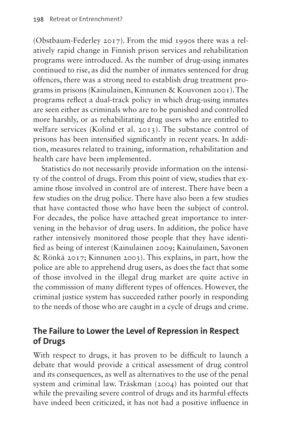(Obstbaum-Federley 2017). From the mid 1990s there was a relatively rapid change in Finnish prison services and rehabilitation programs were introduced. As the number of drug-using inmates continued to rise, as did the number of inmates sentenced for drug offences, there was a strong need to establish drug treatment programs in prisons (Kainulainen, Kinnunen & Kouvonen 2001). The programs reflect a dual-track policy in which drug-using inmates are seen either as criminals who are to be punished and controlled more harshly, or as rehabilitating drug users who are entitled to welfare services (Kolind et al. 2013). The substance control of prisons has been intensified significantly in recent years. In addition, measures related to training, information, rehabilitation and health care have been implemented.

Statistics do not necessarily provide information on the intensity of the control of drugs. From this point of view, studies that examine those involved in control are of interest. There have been a few studies on the drug police. There have also been a few studies that have contacted those who have been the subject of control. For decades, the police have attached great importance to intervening in the behavior of drug users. In addition, the police have rather intensively monitored those people that they have identified as being of interest (Kainulainen 2009; Kainulainen, Savonen & Rönkä 2017; Kinnunen 2003). This explains, in part, how the police are able to apprehend drug users, as does the fact that some of those involved in the illegal drug market are quite active in the commission of many different types of offences. However, the criminal justice system has succeeded rather poorly in responding to the needs of those who are caught in a cycle of drugs and crime.

## **The Failure to Lower the Level of Repression in Respect of Drugs**

With respect to drugs, it has proven to be difficult to launch a debate that would provide a critical assessment of drug control and its consequences, as well as alternatives to the use of the penal system and criminal law. Träskman (2004) has pointed out that while the prevailing severe control of drugs and its harmful effects have indeed been criticized, it has not had a positive influence in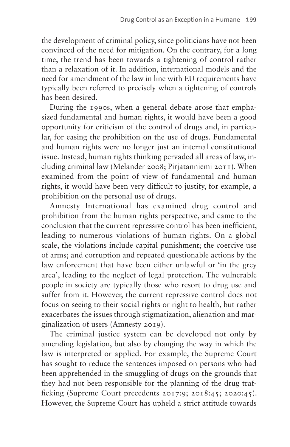the development of criminal policy, since politicians have not been convinced of the need for mitigation. On the contrary, for a long time, the trend has been towards a tightening of control rather than a relaxation of it. In addition, international models and the need for amendment of the law in line with EU requirements have typically been referred to precisely when a tightening of controls has been desired.

During the 1990s, when a general debate arose that emphasized fundamental and human rights, it would have been a good opportunity for criticism of the control of drugs and, in particular, for easing the prohibition on the use of drugs. Fundamental and human rights were no longer just an internal constitutional issue. Instead, human rights thinking pervaded all areas of law, including criminal law (Melander 2008; Pirjatanniemi 2011). When examined from the point of view of fundamental and human rights, it would have been very difficult to justify, for example, a prohibition on the personal use of drugs.

Amnesty International has examined drug control and prohibition from the human rights perspective, and came to the conclusion that the current repressive control has been inefficient, leading to numerous violations of human rights. On a global scale, the violations include capital punishment; the coercive use of arms; and corruption and repeated questionable actions by the law enforcement that have been either unlawful or 'in the grey area', leading to the neglect of legal protection. The vulnerable people in society are typically those who resort to drug use and suffer from it. However, the current repressive control does not focus on seeing to their social rights or right to health, but rather exacerbates the issues through stigmatization, alienation and marginalization of users (Amnesty 2019).

The criminal justice system can be developed not only by amending legislation, but also by changing the way in which the law is interpreted or applied. For example, the Supreme Court has sought to reduce the sentences imposed on persons who had been apprehended in the smuggling of drugs on the grounds that they had not been responsible for the planning of the drug trafficking (Supreme Court precedents 2017:9; 2018:45; 2020:45). However, the Supreme Court has upheld a strict attitude towards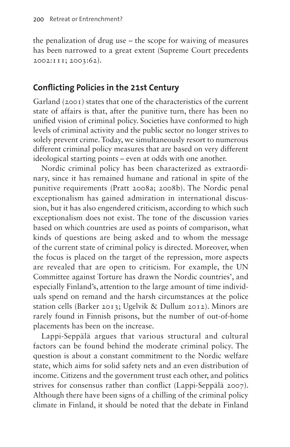the penalization of drug use – the scope for waiving of measures has been narrowed to a great extent (Supreme Court precedents 2002:111; 2003:62).

#### **Conflicting Policies in the 21st Century**

Garland (2001) states that one of the characteristics of the current state of affairs is that, after the punitive turn, there has been no unified vision of criminal policy. Societies have conformed to high levels of criminal activity and the public sector no longer strives to solely prevent crime. Today, we simultaneously resort to numerous different criminal policy measures that are based on very different ideological starting points – even at odds with one another.

Nordic criminal policy has been characterized as extraordinary, since it has remained humane and rational in spite of the punitive requirements (Pratt 2008a; 2008b). The Nordic penal exceptionalism has gained admiration in international discussion, but it has also engendered criticism, according to which such exceptionalism does not exist. The tone of the discussion varies based on which countries are used as points of comparison, what kinds of questions are being asked and to whom the message of the current state of criminal policy is directed. Moreover, when the focus is placed on the target of the repression, more aspects are revealed that are open to criticism. For example, the UN Committee against Torture has drawn the Nordic countries', and especially Finland's, attention to the large amount of time individuals spend on remand and the harsh circumstances at the police station cells (Barker 2013; Ugelvik & Dullum 2012). Minors are rarely found in Finnish prisons, but the number of out-of-home placements has been on the increase.

Lappi-Seppälä argues that various structural and cultural factors can be found behind the moderate criminal policy. The question is about a constant commitment to the Nordic welfare state, which aims for solid safety nets and an even distribution of income. Citizens and the government trust each other, and politics strives for consensus rather than conflict (Lappi-Seppälä 2007). Although there have been signs of a chilling of the criminal policy climate in Finland, it should be noted that the debate in Finland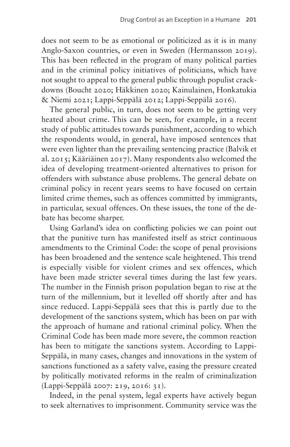does not seem to be as emotional or politicized as it is in many Anglo-Saxon countries, or even in Sweden (Hermansson 2019). This has been reflected in the program of many political parties and in the criminal policy initiatives of politicians, which have not sought to appeal to the general public through populist crackdowns (Boucht 2020; Häkkinen 2020; Kainulainen, Honkatukia & Niemi 2021; Lappi-Seppälä 2012; Lappi-Seppälä 2016).

The general public, in turn, does not seem to be getting very heated about crime. This can be seen, for example, in a recent study of public attitudes towards punishment, according to which the respondents would, in general, have imposed sentences that were even lighter than the prevailing sentencing practice (Balvik et al. 2015; Kääriäinen 2017). Many respondents also welcomed the idea of developing treatment-oriented alternatives to prison for offenders with substance abuse problems. The general debate on criminal policy in recent years seems to have focused on certain limited crime themes, such as offences committed by immigrants, in particular, sexual offences. On these issues, the tone of the debate has become sharper.

Using Garland's idea on conflicting policies we can point out that the punitive turn has manifested itself as strict continuous amendments to the Criminal Code: the scope of penal provisions has been broadened and the sentence scale heightened. This trend is especially visible for violent crimes and sex offences, which have been made stricter several times during the last few years. The number in the Finnish prison population began to rise at the turn of the millennium, but it levelled off shortly after and has since reduced. Lappi-Seppälä sees that this is partly due to the development of the sanctions system, which has been on par with the approach of humane and rational criminal policy. When the Criminal Code has been made more severe, the common reaction has been to mitigate the sanctions system. According to Lappi-Seppälä, in many cases, changes and innovations in the system of sanctions functioned as a safety valve, easing the pressure created by politically motivated reforms in the realm of criminalization (Lappi-Seppälä 2007: 219, 2016: 31).

Indeed, in the penal system, legal experts have actively begun to seek alternatives to imprisonment. Community service was the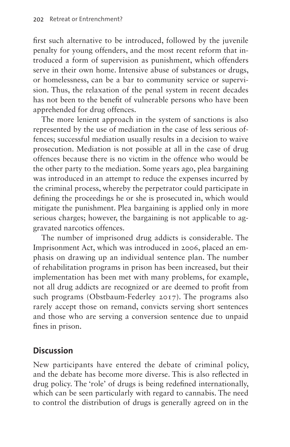first such alternative to be introduced, followed by the juvenile penalty for young offenders, and the most recent reform that introduced a form of supervision as punishment, which offenders serve in their own home. Intensive abuse of substances or drugs, or homelessness, can be a bar to community service or supervision. Thus, the relaxation of the penal system in recent decades has not been to the benefit of vulnerable persons who have been apprehended for drug offences.

The more lenient approach in the system of sanctions is also represented by the use of mediation in the case of less serious offences; successful mediation usually results in a decision to waive prosecution. Mediation is not possible at all in the case of drug offences because there is no victim in the offence who would be the other party to the mediation. Some years ago, plea bargaining was introduced in an attempt to reduce the expenses incurred by the criminal process, whereby the perpetrator could participate in defining the proceedings he or she is prosecuted in, which would mitigate the punishment. Plea bargaining is applied only in more serious charges; however, the bargaining is not applicable to aggravated narcotics offences.

The number of imprisoned drug addicts is considerable. The Imprisonment Act, which was introduced in 2006, placed an emphasis on drawing up an individual sentence plan. The number of rehabilitation programs in prison has been increased, but their implementation has been met with many problems, for example, not all drug addicts are recognized or are deemed to profit from such programs (Obstbaum-Federley 2017). The programs also rarely accept those on remand, convicts serving short sentences and those who are serving a conversion sentence due to unpaid fines in prison.

# **Discussion**

New participants have entered the debate of criminal policy, and the debate has become more diverse. This is also reflected in drug policy. The 'role' of drugs is being redefined internationally, which can be seen particularly with regard to cannabis. The need to control the distribution of drugs is generally agreed on in the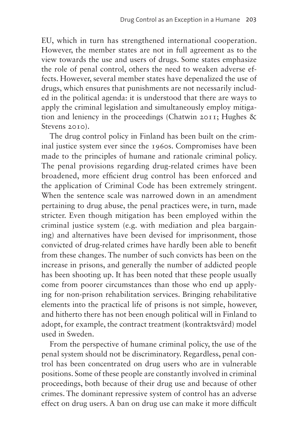EU, which in turn has strengthened international cooperation. However, the member states are not in full agreement as to the view towards the use and users of drugs. Some states emphasize the role of penal control, others the need to weaken adverse effects. However, several member states have depenalized the use of drugs, which ensures that punishments are not necessarily included in the political agenda: it is understood that there are ways to apply the criminal legislation and simultaneously employ mitigation and leniency in the proceedings (Chatwin 2011; Hughes & Stevens 2010).

The drug control policy in Finland has been built on the criminal justice system ever since the 1960s. Compromises have been made to the principles of humane and rationale criminal policy. The penal provisions regarding drug-related crimes have been broadened, more efficient drug control has been enforced and the application of Criminal Code has been extremely stringent. When the sentence scale was narrowed down in an amendment pertaining to drug abuse, the penal practices were, in turn, made stricter. Even though mitigation has been employed within the criminal justice system (e.g. with mediation and plea bargaining) and alternatives have been devised for imprisonment, those convicted of drug-related crimes have hardly been able to benefit from these changes. The number of such convicts has been on the increase in prisons, and generally the number of addicted people has been shooting up. It has been noted that these people usually come from poorer circumstances than those who end up applying for non-prison rehabilitation services. Bringing rehabilitative elements into the practical life of prisons is not simple, however, and hitherto there has not been enough political will in Finland to adopt, for example, the contract treatment (kontraktsvård) model used in Sweden.

From the perspective of humane criminal policy, the use of the penal system should not be discriminatory. Regardless, penal control has been concentrated on drug users who are in vulnerable positions. Some of these people are constantly involved in criminal proceedings, both because of their drug use and because of other crimes. The dominant repressive system of control has an adverse effect on drug users. A ban on drug use can make it more difficult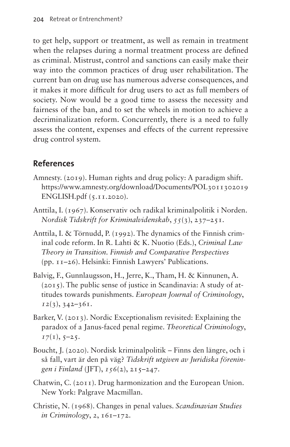to get help, support or treatment, as well as remain in treatment when the relapses during a normal treatment process are defined as criminal. Mistrust, control and sanctions can easily make their way into the common practices of drug user rehabilitation. The current ban on drug use has numerous adverse consequences, and it makes it more difficult for drug users to act as full members of society. Now would be a good time to assess the necessity and fairness of the ban, and to set the wheels in motion to achieve a decriminalization reform. Concurrently, there is a need to fully assess the content, expenses and effects of the current repressive drug control system.

# **References**

- Amnesty. (2019). Human rights and drug policy: A paradigm shift. [https://www.amnesty.org/download/Documents/POL3011302019](https://www.amnesty.org/download/Documents/POL3011302019ENGLISH.pdf) [ENGLISH.pdf](https://www.amnesty.org/download/Documents/POL3011302019ENGLISH.pdf) (5.11.2020).
- Anttila, I. (1967). Konservativ och radikal kriminalpolitik i Norden. *Nordisk Tidskrift for Kriminalvidenskab*, *55*(3), 237–251.
- Anttila, I. & Törnudd, P. (1992). The dynamics of the Finnish criminal code reform. In R. Lahti & K. Nuotio (Eds.), *Criminal Law Theory in Transition. Finnish and Comparative Perspectives* (pp. 11–26). Helsinki: Finnish Lawyers' Publications.
- Balvig, F., Gunnlaugsson, H., Jerre, K., Tham, H. & Kinnunen, A. (2015). The public sense of justice in Scandinavia: A study of attitudes towards punishments. *European Journal of Criminology*, *12*(3), 342–361.
- Barker, V. (2013). Nordic Exceptionalism revisited: Explaining the paradox of a Janus-faced penal regime. *Theoretical Criminology*,  $I7(1), 5-25.$
- Boucht, J. (2020). Nordisk kriminalpolitik Finns den längre, och i så fall, vart är den på väg? *Tidskrift utgiven av Juridiska föreningen i Finland* (JFT), *156*(2), 215–247.
- Chatwin, C. (2011). Drug harmonization and the European Union. New York: Palgrave Macmillan.
- Christie, N. (1968). Changes in penal values. *Scandinavian Studies in Criminology*, *2*, 161–172.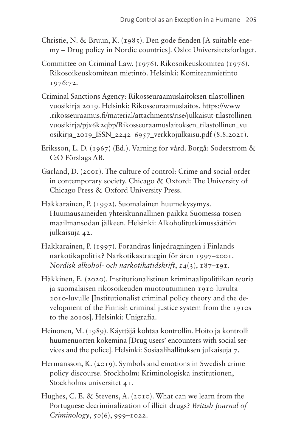- Christie, N. & Bruun, K. (1985). Den gode fienden [A suitable enemy – Drug policy in Nordic countries]. Oslo: Universitetsforlaget.
- Committee on Criminal Law. (1976). Rikosoikeuskomitea (1976). Rikosoikeuskomitean mietintö. Helsinki: Komiteanmietintö 1976:72.
- Criminal Sanctions Agency: Rikosseuraamuslaitoksen tilastollinen vuosikirja 2019. Helsinki: Rikosseuraamuslaitos. [https://www](https://www.rikosseuraamus.fi/material/attachments/rise/julkaisut-tilastollinenvuosikirja/pjx6k2qbp/Rikosseuraamuslaitoksen_tilastollinen_vuosikirja_2019_ISSN_2242-6957_verkkojulkaisu.pdf) [.rikosseuraamus.fi/material/attachments/rise/julkaisut-tilastollinen](https://www.rikosseuraamus.fi/material/attachments/rise/julkaisut-tilastollinenvuosikirja/pjx6k2qbp/Rikosseuraamuslaitoksen_tilastollinen_vuosikirja_2019_ISSN_2242-6957_verkkojulkaisu.pdf) [vuosikirja/pjx6k2qbp/Rikosseuraamuslaitoksen\\_tilastollinen\\_vu](https://www.rikosseuraamus.fi/material/attachments/rise/julkaisut-tilastollinenvuosikirja/pjx6k2qbp/Rikosseuraamuslaitoksen_tilastollinen_vuosikirja_2019_ISSN_2242-6957_verkkojulkaisu.pdf) [osikirja\\_2019\\_ISSN\\_2242–6957\\_verkkojulkaisu.pdf](https://www.rikosseuraamus.fi/material/attachments/rise/julkaisut-tilastollinenvuosikirja/pjx6k2qbp/Rikosseuraamuslaitoksen_tilastollinen_vuosikirja_2019_ISSN_2242-6957_verkkojulkaisu.pdf) (8.8.2021).
- Eriksson, L. D. (1967) (Ed.). Varning för vård. Borgå: Söderström & C:O Förslags AB.
- Garland, D. (2001). The culture of control: Crime and social order in contemporary society. Chicago & Oxford: The University of Chicago Press & Oxford University Press.
- Hakkarainen, P. (1992). Suomalainen huumekysymys. Huumausaineiden yhteiskunnallinen paikka Suomessa toisen maailmansodan jälkeen. Helsinki: Alkoholitutkimussäätiön julkaisuja 42.
- Hakkarainen, P. (1997). Förändras linjedragningen i Finlands narkotikapolitik? Narkotikastrategin för åren 1997–2001. *Nordisk alkohol- och narkotikatidskrift*, *14*(3), 187–191.
- Häkkinen, E. (2020). Institutionalistinen kriminaalipolitiikan teoria ja suomalaisen rikosoikeuden muotoutuminen 1910-luvulta 2010-luvulle [Institutionalist criminal policy theory and the development of the Finnish criminal justice system from the 1910s to the 2010s]. Helsinki: Unigrafia.
- Heinonen, M. (1989). Käyttäjä kohtaa kontrollin. Hoito ja kontrolli huumenuorten kokemina [Drug users' encounters with social services and the police]. Helsinki: Sosiaalihallituksen julkaisuja 7.
- Hermansson, K. (2019). Symbols and emotions in Swedish crime policy discourse. Stockholm: Kriminologiska institutionen, Stockholms universitet 41.
- Hughes, C. E. & Stevens, A. (2010). What can we learn from the Portuguese decriminalization of illicit drugs? *British Journal of Criminology*, *50*(6), 999–1022.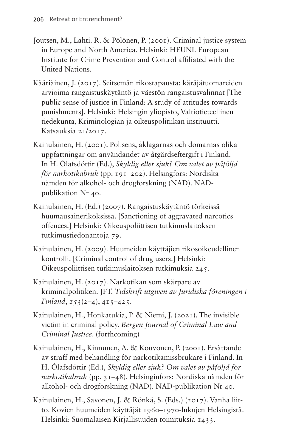- Joutsen, M., Lahti. R. & Pölönen, P. (2001). Criminal justice system in Europe and North America. Helsinki: HEUNI. European Institute for Crime Prevention and Control affiliated with the United Nations.
- Kääriäinen, J. (2017). Seitsemän rikostapausta: käräjätuomareiden arvioima rangaistuskäytäntö ja väestön rangaistusvalinnat [The public sense of justice in Finland: A study of attitudes towards punishments]. Helsinki: Helsingin yliopisto, Valtiotieteellinen tiedekunta, Kriminologian ja oikeuspolitiikan instituutti. Katsauksia 21/2017.
- Kainulainen, H. (2001). Polisens, åklagarnas och domarnas olika uppfattningar om användandet av åtgärdseftergift i Finland. In H. Ólafsdóttir (Ed.), *Skyldig eller sjuk? Om valet av påföljd för narkotikabruk* (pp. 191–202). Helsingfors: Nordiska nämden för alkohol- och drogforskning (NAD). NADpublikation Nr 40.
- Kainulainen, H. (Ed.) (2007). Rangaistuskäytäntö törkeissä huumausainerikoksissa. [Sanctioning of aggravated narcotics offences.] Helsinki: Oikeuspoliittisen tutkimuslaitoksen tutkimustiedonantoja 79.
- Kainulainen, H. (2009). Huumeiden käyttäjien rikosoikeudellinen kontrolli. [Criminal control of drug users.] Helsinki: Oikeuspoliittisen tutkimuslaitoksen tutkimuksia 245.
- Kainulainen, H. (2017). Narkotikan som skärpare av kriminalpolitiken. JFT. *Tidskrift utgiven av Juridiska föreningen i Finland*, *153*(2–4), 415–425.
- Kainulainen, H., Honkatukia, P. & Niemi, J. (2021). The invisible victim in criminal policy. *Bergen Journal of Criminal Law and Criminal Justice*. (forthcoming)
- Kainulainen, H., Kinnunen, A. & Kouvonen, P. (2001). Ersättande av straff med behandling för narkotikamissbrukare i Finland. In H. Ólafsdóttir (Ed.), *Skyldig eller sjuk? Om valet av påföljd för narkotikabruk* (pp. 31–48). Helsinginfors: Nordiska nämden för alkohol- och drogforskning (NAD). NAD-publikation Nr 40.
- Kainulainen, H., Savonen, J. & Rönkä, S. (Eds.) (2017). Vanha liitto. Kovien huumeiden käyttäjät 1960–1970-lukujen Helsingistä. Helsinki: Suomalaisen Kirjallisuuden toimituksia 1433.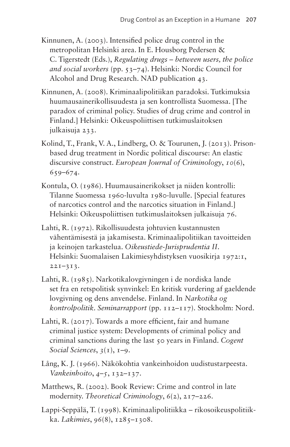- Kinnunen, A. (2003). Intensified police drug control in the metropolitan Helsinki area. In E. Housborg Pedersen & C. Tigerstedt (Eds.), *Regulating drugs – between users, the police and social workers* (pp. 53–74). Helsinki: Nordic Council for Alcohol and Drug Research. NAD publication 43.
- Kinnunen, A. (2008). Kriminaalipolitiikan paradoksi. Tutkimuksia huumausainerikollisuudesta ja sen kontrollista Suomessa. [The paradox of criminal policy. Studies of drug crime and control in Finland.] Helsinki: Oikeuspoliittisen tutkimuslaitoksen julkaisuja 233.
- Kolind, T., Frank, V. A., Lindberg, O. & Tourunen, J. (2013). Prisonbased drug treatment in Nordic political discourse: An elastic discursive construct. *European Journal of Criminology*, *10*(6), 659–674.
- Kontula, O. (1986). Huumausainerikokset ja niiden kontrolli: Tilanne Suomessa 1960-luvulta 1980-luvulle. [Special features of narcotics control and the narcotics situation in Finland.] Helsinki: Oikeuspoliittisen tutkimuslaitoksen julkaisuja 76.
- Lahti, R. (1972). Rikollisuudesta johtuvien kustannusten vähentämisestä ja jakamisesta. Kriminaalipolitiikan tavoitteiden ja keinojen tarkastelua. *Oikeustiede-Jurisprudentia II*. Helsinki: Suomalaisen Lakimiesyhdistyksen vuosikirja 1972:1, 221–313.
- Lahti, R. (1985). Narkotikalovgivningen i de nordiska lande set fra en retspolitisk synvinkel: En kritisk vurdering af gaeldende lovgivning og dens anvendelse. Finland. In *Narkotika og kontrolpolitik. Seminarrapport* (pp. 112–117). Stockholm: Nord.
- Lahti, R. (2017). Towards a more efficient, fair and humane criminal justice system: Developments of criminal policy and criminal sanctions during the last 50 years in Finland. *Cogent Social Sciences*, *3*(1), 1–9.
- Lång, K. J. (1966). Näkökohtia vankeinhoidon uudistustarpeesta. *Vankeinhoito*, *4–5*, 132–137.
- Matthews, R. (2002). Book Review: Crime and control in late modernity. *Theoretical Criminology*, *6*(2), 217–226.
- Lappi-Seppälä, T. (1998). Kriminaalipolitiikka rikosoikeuspolitiikka. *Lakimies*, *96*(8), 1285–1308.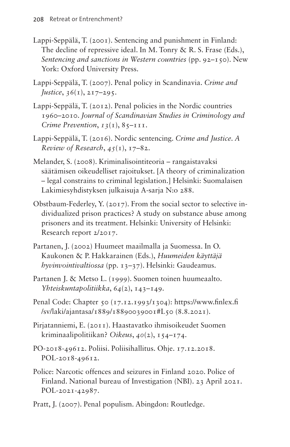- Lappi-Seppälä, T. (2001). Sentencing and punishment in Finland: The decline of repressive ideal. In M. Tonry & R. S. Frase (Eds.), *Sentencing and sanctions in Western countries* (pp. 92–150). New York: Oxford University Press.
- Lappi-Seppälä, T. (2007). Penal policy in Scandinavia. *Crime and Justice*, *36*(1), 217–295.
- Lappi-Seppälä, T. (2012). Penal policies in the Nordic countries 1960–2010. *Journal of Scandinavian Studies in Criminology and Crime Prevention, 13(1), 85-111.*
- Lappi-Seppälä, T. (2016). Nordic sentencing. *Crime and Justice. A Review of Research*, *45*(1), 17–82.
- Melander, S. (2008). Kriminalisointiteoria rangaistavaksi säätämisen oikeudelliset rajoitukset. [A theory of criminalization – legal constrains to criminal legislation.] Helsinki: Suomalaisen Lakimiesyhdistyksen julkaisuja A-sarja N:o 288.
- Obstbaum-Federley, Y. (2017). From the social sector to selective individualized prison practices? A study on substance abuse among prisoners and its treatment. Helsinki: University of Helsinki: Research report 2/2017.
- Partanen, J. (2002) Huumeet maailmalla ja Suomessa. In O. Kaukonen & P. Hakkarainen (Eds.), *Huumeiden käyttäjä hyvinvointivaltiossa* (pp. 13–37). Helsinki: Gaudeamus.
- Partanen J. & Metso L. (1999). Suomen toinen huumeaalto. *Yhteiskuntapolitiikka*, *64*(2), 143–149.
- Penal Code: Chapter 50 (17.12.1993/1304): [https://www.finlex.fi](https://www.finlex.fi/sv/laki/ajantasa/1889/18890039001#L50) [/sv/laki/ajantasa/1889/18890039001#L50](https://www.finlex.fi/sv/laki/ajantasa/1889/18890039001#L50) (8.8.2021).
- Pirjatanniemi, E. (2011). Haastavatko ihmisoikeudet Suomen kriminaalipolitiikan? *Oikeus*, *40*(2), 154–174.
- PO-2018-49612. Poliisi. Poliisihallitus. Ohje. 17.12.2018. POL-2018-49612.
- Police: Narcotic offences and seizures in Finland 2020. Police of Finland. National bureau of Investigation (NBI). 23 April 2021. POL-2021-42987.
- Pratt, J. (2007). Penal populism. Abingdon: Routledge.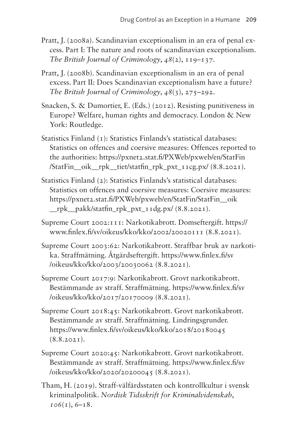- Pratt, J. (2008a). Scandinavian exceptionalism in an era of penal excess. Part I: The nature and roots of scandinavian exceptionalism. *The British Journal of Criminology*, *48*(2), 119–137.
- Pratt, J. (2008b). Scandinavian exceptionalism in an era of penal excess. Part II: Does Scandinavian exceptionalism have a future? *The British Journal of Criminology*, *48*(3), 275–292.
- Snacken, S. & Dumortier, E. (Eds.) (2012). Resisting punitiveness in Europe? Welfare, human rights and democracy. London & New York: Routledge.
- Statistics Finland (1): Statistics Finlands's statistical databases: Statistics on offences and coersive measures: Offences reported to the authorities: [https://pxnet2.stat.fi/PXWeb/pxweb/en/StatFin](https://pxnet2.stat.fi/PXWeb/pxweb/en/StatFin/StatFin__oik__rpk__tiet/statfin_rpk_pxt_11cg.px/) [/StatFin\\_\\_oik\\_\\_rpk\\_\\_tiet/statfin\\_rpk\\_pxt\\_11cg.px/](https://pxnet2.stat.fi/PXWeb/pxweb/en/StatFin/StatFin__oik__rpk__tiet/statfin_rpk_pxt_11cg.px/) (8.8.2021).
- Statistics Finland (2): Statistics Finlands's statistical databases: Statistics on offences and coersive measures: Coersive measures: [https://pxnet2.stat.fi/PXWeb/pxweb/en/StatFin/StatFin\\_\\_oik](https://pxnet2.stat.fi/PXWeb/pxweb/en/StatFin/StatFin__oik__rpk__pakk/statfin_rpk_pxt_11dg.px/) [\\_\\_rpk\\_\\_pakk/statfin\\_rpk\\_pxt\\_11dg.px/](https://pxnet2.stat.fi/PXWeb/pxweb/en/StatFin/StatFin__oik__rpk__pakk/statfin_rpk_pxt_11dg.px/) (8.8.2021).
- Supreme Court 2002:111: Narkotikabrott. Domseftergift. [https://](https://www.finlex.fi/sv/oikeus/kko/kko/2002/20020111) [www.finlex.fi/sv/oikeus/kko/kko/2002/20020111](https://www.finlex.fi/sv/oikeus/kko/kko/2002/20020111) (8.8.2021).
- Supreme Court 2003:62: Narkotikabrott. Straffbar bruk av narkotika. Straffmätning. Åtgärdseftergift. [https://www.finlex.fi/sv](https://www.finlex.fi/sv/oikeus/kko/kko/2003/20030062) [/oikeus/kko/kko/2003/20030062](https://www.finlex.fi/sv/oikeus/kko/kko/2003/20030062) (8.8.2021).
- Supreme Court 2017:9: Narkotikabrott. Grovt narkotikabrott. Bestämmande av straff. Straffmätning. [https://www.finlex.fi/sv](https://www.finlex.fi/sv/oikeus/kko/kko/2017/20170009) [/oikeus/kko/kko/2017/20170009](https://www.finlex.fi/sv/oikeus/kko/kko/2017/20170009) (8.8.2021).
- Supreme Court 2018:45: Narkotikabrott. Grovt narkotikabrott. Bestämmande av straff. Straffmätning. Lindringsgrunder. <https://www.finlex.fi/sv/oikeus/kko/kko/2018/20180045>  $(8.8.2021)$ .
- Supreme Court 2020:45: Narkotikabrott. Grovt narkotikabrott. Bestämmande av straff. Straffmätning. [https://www.finlex.fi/sv](https://www.finlex.fi/sv/oikeus/kko/kko/2020/20200045) [/oikeus/kko/kko/2020/20200045](https://www.finlex.fi/sv/oikeus/kko/kko/2020/20200045) (8.8.2021).
- Tham, H. (2019). Straff-välfärdsstaten och kontrollkultur i svensk kriminalpolitik. *Nordisk Tidsskrift for Kriminalvidenskab*, *106*(1), 6–18.